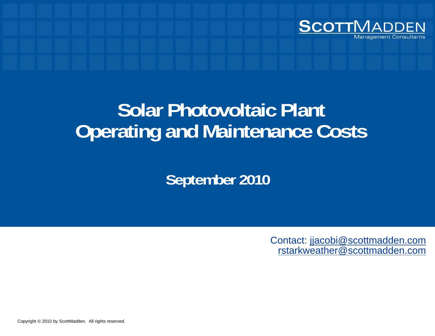

# **Solar Photovoltaic Plant Operating and Maintenance Costs**

**September 2010**

Contact: jjacobi@scottmadden.com rstarkweather@scottmadden.com

Copyright © 2010 by ScottMadden. All rights reserved.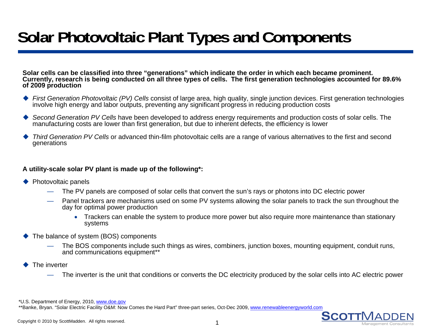# **Solar Photovoltaic Plant Types and Components**

**Solar cells can be classified into three "generations" which indicate the order in which each became prominent. Currently, research is being conducted on all three types of cells. The first generation technologies accounted for 89.6% of 2009 d ti f 2009 pro duction**

- ◆ First Generation Photovoltaic (PV) Cells consist of large area, high quality, single junction devices. First generation technologies involve high energy and labor outputs, preventing any significant progress in reducing production costs
- ♦ *Second Generation PV Cells* have been developed to address energy requirements and production costs of solar cells. The manufacturing costs are lower than first generation, but due to inherent defects, the efficiency is lower
- ♦ *Third Generation PV Cells* or advanced thin-film photovoltaic cells are a range of various alternatives to the first and second generations

#### A utility-scale solar PV plant is made up of the following\*:

- ◆ Photovoltaic panels
	- The PV panels are composed of solar cells that convert the sun's rays or photons into DC electric power
	- Panel trackers are mechanisms used on some PV systems allowing the solar panels to track the sun throughout the day for optimal power production
		- Trackers can enable the system to produce more power but also require more maintenance than stationary systems
- ◆ The balance of system (BOS) components
	- The BOS components include such things as wires, combiners, junction boxes, mounting equipment, conduit runs, and communications equipment<sup>\*\*</sup>
- ♦ The inverter
	- The inverter is the unit that conditions or converts the DC electricity produced by the solar cells into AC electric power

\*U.S. Department of Energy, 2010, www.doe.gov

\*\*Banke, Bryan. "Solar Electric Facility O&M: Now Comes the Hard Part" three-part series, Oct-Dec 2009, www.renewableenergyworld.com

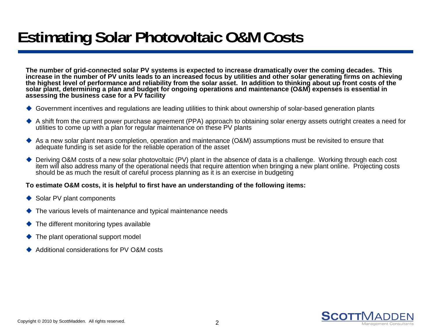# **Estimating Solar Photovoltaic O&M Costs**

**The number of grid-connected solar PV systems is expected to increase dramatically over the coming decades. This**  increase in the number of PV units leads to an increased focus by utilities and other solar generating firms on achieving the highest level of performance and reliability from the solar asset. In addition to thinking about up front costs of the **solar plant, determining a plan and budget for ongoing operations and maintenance (O&M) expenses is essential in assessing the business case for a PV facility**

- ◆ Government incentives and regulations are leading utilities to think about ownership of solar-based generation plants
- A shift from the current power purchase agreement (PPA) approach to obtaining solar energy assets outright creates a need for utilities to come up with a plan for regular maintenance on these PV plants
- As a new solar plant nears completion, operation and maintenance (O&M) assumptions must be revisited to ensure that adequate funding is set aside for the reliable operation of the asset
- $\bullet$  Deriving O&M costs of a new solar photovoltaic (PV) plant in the absence of data is a challenge. Working through each cost item will also address many of the operational needs that require attention when bringing a new plant online. Projecting costs should be as much the result of careful process planning as it is an exercise in budgeting

#### **To estimate O&M costs, it is helpful to first have an understanding of the following items:**

- ◆ Solar PV plant components
- $\blacklozenge$  The various levels of maintenance and typical maintenance needs
- The different monitoring types available
- $\blacklozenge$  The plant operational support model
- ♦ Additional considerations for PV O&M costs

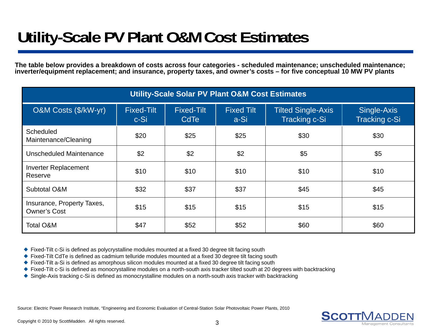# **Utility-Scale PV Plant O&M Cost Estimates**

**The table below provides a breakdown of costs across four categories - scheduled maintenance; unscheduled maintenance; inverter/equipment replacement; and insurance, property taxes, and owner's costs – for five conceptual 10 MW PV plants**

| <b>Utility-Scale Solar PV Plant O&amp;M Cost Estimates</b> |                           |                                  |                           |                                                   |                                     |  |  |  |  |
|------------------------------------------------------------|---------------------------|----------------------------------|---------------------------|---------------------------------------------------|-------------------------------------|--|--|--|--|
| O&M Costs (\$/kW-yr)                                       | <b>Fixed-Tilt</b><br>c-Si | <b>Fixed-Tilt</b><br><b>CdTe</b> | <b>Fixed Tilt</b><br>a-Si | <b>Tilted Single-Axis</b><br><b>Tracking c-Si</b> | Single-Axis<br><b>Tracking c-Si</b> |  |  |  |  |
| <b>Scheduled</b><br>Maintenance/Cleaning                   | \$20                      | \$25                             | \$25                      | \$30                                              | \$30                                |  |  |  |  |
| Unscheduled Maintenance                                    | \$2                       | \$2                              | \$2                       | \$5                                               | \$5                                 |  |  |  |  |
| <b>Inverter Replacement</b><br>Reserve                     | \$10                      | \$10                             | \$10                      | \$10                                              | \$10                                |  |  |  |  |
| Subtotal O&M                                               | \$32                      | \$37                             | \$37                      | \$45                                              | \$45                                |  |  |  |  |
| Insurance, Property Taxes,<br><b>Owner's Cost</b>          | \$15                      | \$15                             | \$15                      | \$15                                              | \$15                                |  |  |  |  |
| <b>Total O&amp;M</b>                                       | \$47                      | \$52                             | \$52                      | \$60                                              | \$60                                |  |  |  |  |

 $\blacklozenge$  Fixed-Tilt c-Si is defined as polycrystalline modules mounted at a fixed 30 degree tilt facing south

◆ Fixed-Tilt CdTe is defined as cadmium telluride modules mounted at a fixed 30 degree tilt facing south

- ◆ Fixed-Tilt a-Si is defined as amorphous silicon modules mounted at a fixed 30 degree tilt facing south
- ◆ Fixed-Tilt c-Si is defined as monocrystalline modules on a north-south axis tracker tilted south at 20 degrees with backtracking
- ◆ Single-Axis tracking c-Si is defined as monocrystalline modules on a north-south axis tracker with backtracking

Source: Electric Power Research Institute, "Engineering and Economic Evaluation of Central-Station Solar Photovoltaic Power Plants, 2010

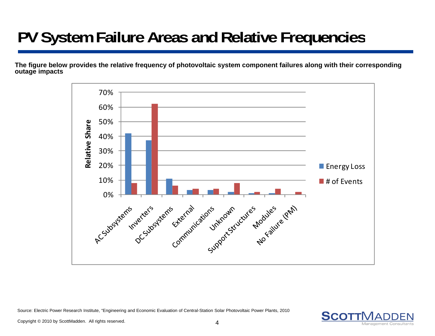# **PV System Failure Areas and Relative Frequencies**

**The figure below provides the relative frequency of photovoltaic system component failures along with their corresponding outage impacts**



Source: Electric Power Research Institute, "Engineering and Economic Evaluation of Central-Station Solar Photovoltaic Power Plants, 2010

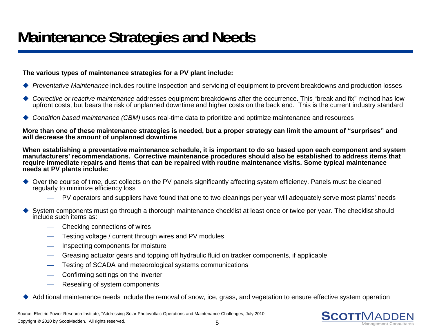### **Maintenance Strategies and Needs**

### **The various types of maintenance strategies for a PV plant include:**

- ◆ Preventative Maintenance includes routine inspection and servicing of equipment to prevent breakdowns and production losses
- ◆ *Corrective or reactive maintenance* addresses equipment breakdowns after the occurrence. This "break and fix" method has low upfront costs, but bears the risk of unplanned downtime and higher costs on the back end. This is the current industry standar d
- ◆ Condition based maintenance (CBM) uses real-time data to prioritize and optimize maintenance and resources

**More than one of these maintenance strategies is needed, but a proper strategy can limit the amount of "surprises" and will decrease the amount of unplanned downtime**

**When establishing a preventative maintenance schedule, it is important to do so based upon each component and system manufacturers' recommendations. Corrective maintenance procedures should also be established to address items that require immediate repairs and items that can be repaired with routine maintenance visits. Some typical maintenance needs at PV plants include:**

- ◆ Over the course of time, dust collects on the PV panels significantly affecting system efficiency. Panels must be cleaned regularly to minimize efficiency loss
	- PV operators and suppliers have found that one to two cleanings per year will adequately serve most plants' needs
- ♦ ◆ System components must go through a thorough maintenance checklist at least once or twice per year. The checklist should include such items as:
	- Checking connections of wires
	- Testing voltage / current through wires and PV modules
	- Inspecting components for moisture
	- Greasing actuator gears and topping off hydraulic fluid on tracker components, if applicable
	- Testing of SCADA and meteorological systems communications
	- Confirming settings on the inverter
	- —Resealing of system components
- $\blacklozenge$ Additional maintenance needs include the removal of snow, ice, grass, and vegetation to ensure effective system operation

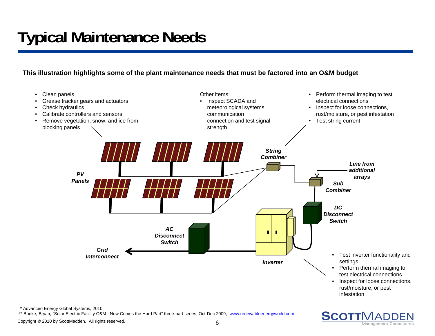# **Typical Maintenance Needs**

**This illustration highlights some of the plant maintenance needs that must be factored into an O&M budget**



\* Advanced Energy Global Systems, 2010.

\*\* Banke, Bryan, "Solar Electric Facility O&M: Now Comes the Hard Part" three-part series, Oct-Dec 2009, www.renewableenergyworld.com.

Copyright © 2010 by ScottMadden. All rights reserved.

**SCOTTMADDEN** 

Management Consultan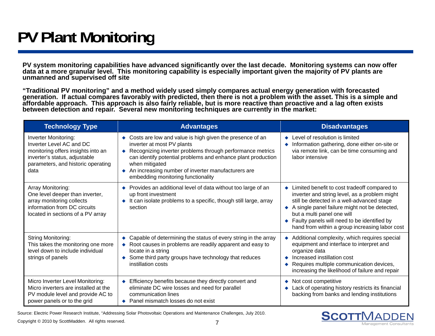# **PV Plant Monitoring**

**PV system monitoring capabilities have advanced significantly over the last decade. Monitoring systems can now offer data at a more granular level. This monitoring capability is especially important given the majority of PV plants are unmanned and supervised off site**

**"Traditional PV monitoring" and a method widely used simply compares actual energy generation with forecasted generation. If actual compares favorably with predicted, then there is not a problem with the asset. This is a simple and affordable approach. This approach is also fairly reliable, but is more reactive than proactive and a lag often exists between detection and repair. Several new monitoring techniques are currently in the market:**

| <b>Technology Type</b>                                                                                                                                                       | <b>Advantages</b>                                                                                                                                                                                                                                                                                                                   | <b>Disadvantages</b>                                                                                                                                                                                                                                                                                                            |  |  |
|------------------------------------------------------------------------------------------------------------------------------------------------------------------------------|-------------------------------------------------------------------------------------------------------------------------------------------------------------------------------------------------------------------------------------------------------------------------------------------------------------------------------------|---------------------------------------------------------------------------------------------------------------------------------------------------------------------------------------------------------------------------------------------------------------------------------------------------------------------------------|--|--|
| <b>Inverter Monitoring:</b><br>Inverter Level AC and DC<br>monitoring offers insights into an<br>inverter's status, adjustable<br>parameters, and historic operating<br>data | • Costs are low and value is high given the presence of an<br>inverter at most PV plants<br>Recognizing inverter problems through performance metrics<br>can identify potential problems and enhance plant production<br>when mitigated<br>An increasing number of inverter manufacturers are<br>embedding monitoring functionality | ← Level of resolution is limited<br>Information gathering, done either on-site or<br>via remote link, can be time consuming and<br>labor intensive                                                                                                                                                                              |  |  |
| Array Monitoring:<br>One level deeper than inverter,<br>array monitoring collects<br>information from DC circuits<br>located in sections of a PV array                       | Provides an additional level of data without too large of an<br>up front investment<br>It can isolate problems to a specific, though still large, array<br>$\bullet$<br>section                                                                                                                                                     | • Limited benefit to cost tradeoff compared to<br>inverter and string level, as a problem might<br>still be detected in a well-advanced stage<br>A single panel failure might not be detected,<br>but a multi panel one will<br>♦ Faulty panels will need to be identified by<br>hand from within a group increasing labor cost |  |  |
| <b>String Monitoring:</b><br>This takes the monitoring one more<br>level down to include individual<br>strings of panels                                                     | • Capable of determining the status of every string in the array<br>• Root causes in problems are readily apparent and easy to<br>locate in a string<br>Some third party groups have technology that reduces<br>instillation costs                                                                                                  | ◆ Additional complexity, which requires special<br>equipment and interface to interpret and<br>organize data<br>Increased instillation cost<br>Requires multiple communication devices,<br>increasing the likelihood of failure and repair                                                                                      |  |  |
| Micro Inverter Level Monitoring:<br>Micro inverters are installed at the<br>PV module level and provide AC to<br>power panels or to the grid                                 | Efficiency benefits because they directly convert and<br>eliminate DC wire losses and need for parallel<br>communication lines<br>♦ Panel mismatch losses do not exist                                                                                                                                                              | ◆ Not cost competitive<br>Lack of operating history restricts its financial<br>backing from banks and lending institutions                                                                                                                                                                                                      |  |  |

Source: Electric Power Research Institute, "Addressing Solar Photovoltaic Operations and Maintenance Challenges, July 2010.

Copyright © 2010 by ScottMadden. All rights reserved. 7

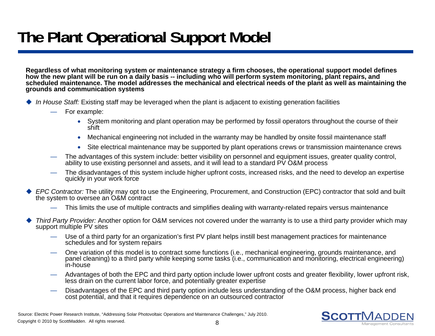# **The Plant Operational Support Model**

**Regardless of what monitoring system or maintenance strategy a firm chooses, the operational support model defines how the new plant will be run on a daily basis -- including who will perform system monitoring, plant repairs, and**  scheduled maintenance. The model addresses the mechanical and electrical needs of the plant as well as maintaining the **grounds and communication systems**

- *In House Staff:* Existing staff may be leveraged when the plant is adjacent to existing generation facilities
	- For example:
		- System monitoring and plant operation may be performed by fossil operators throughout the course of their shift
		- $\bullet$ Mechanical engineering not included in the warranty may be handled by onsite fossil maintenance staff
		- Site electrical maintenance may be supported by plant operations crews or transmission maintenance crews
	- The advantages of this system include: better visibility on personnel and equipment issues, greater quality control, ability to use existing personnel and assets, and it will lead to a standard PV O&M process
	- The disadvantages of this system include higher upfront costs, increased risks, and the need to develop an expertise quickly in your work force
- ◆ EPC Contractor: The utility may opt to use the Engineering, Procurement, and Construction (EPC) contractor that sold and built the system to oversee an O&M contract
	- This limits the use of multiple contracts and simplifies dealing with warranty-related repairs versus maintenance
- ♦ *Third Party Provider:* Another option for O&M services not covered under the warranty is to use a third party provider which may support multiple PV sites
	- Use of a third party for an organization's first PV plant helps instill best management practices for maintenance schedules and for system repairs
	- One variation of this model is to contract some functions (i.e., mechanical engineering, grounds maintenance, and panel cleaning) to a third party while keeping some tasks (i.e., communication and monitoring, electrical engineering) in-house
	- Advantages of both the EPC and third party option include lower upfront costs and greater flexibility, lower upfront risk, less drain on the current labor force, and potentially greater expertise
	- Disadvantages of the EPC and third party option include less understanding of the O&M process, higher back end cost potential, and that it requires dependence on an outsourced contractor

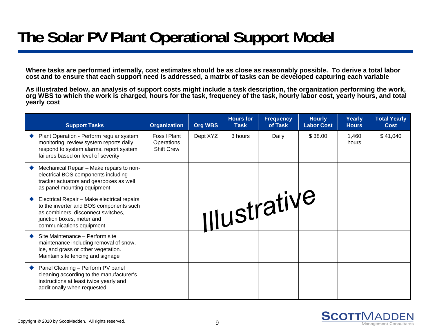### **The Solar PV Plant Operational Support Model**

**Where tasks are performed internally, cost estimates should be as close as reasonably possible. To derive a total labor cost and to ensure that each support need is addressed, a matrix of tasks can be developed capturing each variable**

**As illustrated below, an analysis of support costs might include a task description, the organization performing the work, org WBS to which the work is charged, hours for the task, frequency of the task, hourly labor cost, yearly hours, and total yearly cost**

| <b>Support Tasks</b>                                                                                                                                                                  | <b>Organization</b>                                    | <b>Org WBS</b> | <b>Hours</b> for<br><b>Task</b> | <b>Frequency</b><br>of Task | <b>Hourly</b><br><b>Labor Cost</b> | Yearly<br><b>Hours</b> | <b>Total Yearly</b><br><b>Cost</b> |
|---------------------------------------------------------------------------------------------------------------------------------------------------------------------------------------|--------------------------------------------------------|----------------|---------------------------------|-----------------------------|------------------------------------|------------------------|------------------------------------|
| Plant Operation - Perform regular system<br>monitoring, review system reports daily,<br>respond to system alarms, report system<br>failures based on level of severity                | <b>Fossil Plant</b><br>Operations<br><b>Shift Crew</b> | Dept XYZ       | 3 hours                         | Daily                       | \$38.00                            | 1,460<br>hours         | \$41,040                           |
| Mechanical Repair - Make repairs to non-<br>electrical BOS components including<br>tracker actuators and gearboxes as well<br>as panel mounting equipment                             |                                                        |                |                                 |                             |                                    |                        |                                    |
| Electrical Repair - Make electrical repairs<br>to the inverter and BOS components such<br>as combiners, disconnect switches,<br>junction boxes, meter and<br>communications equipment |                                                        |                |                                 | <b>Illustrative</b>         |                                    |                        |                                    |
| Site Maintenance - Perform site<br>maintenance including removal of snow,<br>ice, and grass or other vegetation.<br>Maintain site fencing and signage                                 |                                                        |                |                                 |                             |                                    |                        |                                    |
| Panel Cleaning - Perform PV panel<br>cleaning according to the manufacturer's<br>instructions at least twice yearly and<br>additionally when requested                                |                                                        |                |                                 |                             |                                    |                        |                                    |

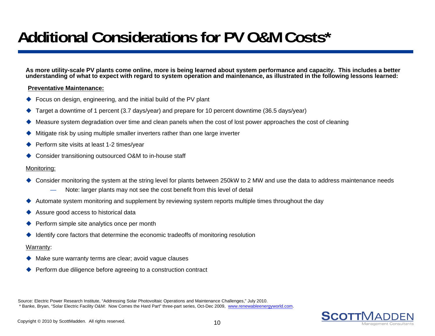### **Additional Considerations for PV O&M Costs \***

**As more utility-scale PV plants come online, more is being learned about system performance and capacity. This includes a better understanding of what to expect with regard to system operation and maintenance, as illustrated in the following lessons learned:**

#### **Preventative Maintenance:**

- ◆ Focus on design, engineering, and the initial build of the PV plant
- ♦ Target a downtime of 1 percent (3.7 days/year) and prepare for 10 percent downtime (36.5 days/year)
- $\blacklozenge$ Measure system degradation over time and clean panels when the cost of lost power approaches the cost of cleaning
- ◆ Mitigate risk by using multiple smaller inverters rather than one large inverter
- ◆ Perform site visits at least 1-2 times/year
- ◆ Consider transitioning outsourced O&M to in-house staff

#### Monitoring:

- ◆ Consider monitoring the system at the string level for plants between 250kW to 2 MW and use the data to address maintenance needs
	- Note: larger plants may not see the cost benefit from this level of detail
- ◆ Automate system monitoring and supplement by reviewing system reports multiple times throughout the day
- ◆ Assure good access to historical data
- ◆ Perform simple site analytics once per month
- ♦ Identify core factors that determine the economic tradeoffs of monitoring resolution

#### Warranty:

- ♦ Make sure warranty terms are clear; avoid vague clauses
- $\blacklozenge$ Perform due diligence before agreeing to a construction contract

Source: Electric Power Research Institute, "Addressing Solar Photovoltaic Operations and Maintenance Challenges," July 2010. \* Banke, Bryan, "Solar Electric Facility O&M: Now Comes the Hard Part" three-part series, Oct-Dec 2009, www.renewableenergyworld.com.